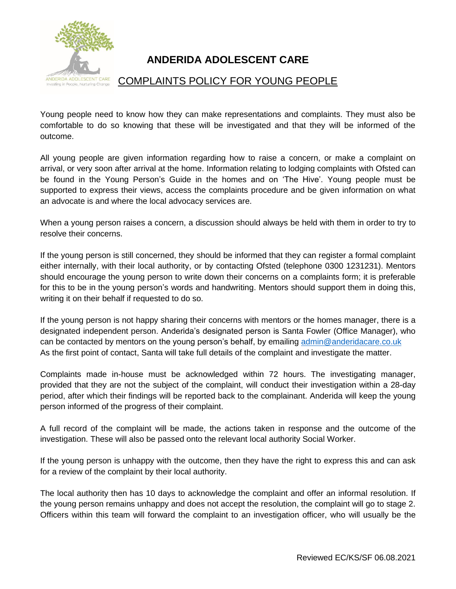

## **ANDERIDA ADOLESCENT CARE**

## COMPLAINTS POLICY FOR YOUNG PEOPLE

Young people need to know how they can make representations and complaints. They must also be comfortable to do so knowing that these will be investigated and that they will be informed of the outcome.

All young people are given information regarding how to raise a concern, or make a complaint on arrival, or very soon after arrival at the home. Information relating to lodging complaints with Ofsted can be found in the Young Person's Guide in the homes and on 'The Hive'. Young people must be supported to express their views, access the complaints procedure and be given information on what an advocate is and where the local advocacy services are.

When a young person raises a concern, a discussion should always be held with them in order to try to resolve their concerns.

If the young person is still concerned, they should be informed that they can register a formal complaint either internally, with their local authority, or by contacting Ofsted (telephone 0300 1231231). Mentors should encourage the young person to write down their concerns on a complaints form; it is preferable for this to be in the young person's words and handwriting. Mentors should support them in doing this, writing it on their behalf if requested to do so.

If the young person is not happy sharing their concerns with mentors or the homes manager, there is a designated independent person. Anderida's designated person is Santa Fowler (Office Manager), who can be contacted by mentors on the young person's behalf, by emailing [admin@anderidacare.co.uk](mailto:admin@anderidacare.co.uk) As the first point of contact, Santa will take full details of the complaint and investigate the matter.

Complaints made in-house must be acknowledged within 72 hours. The investigating manager, provided that they are not the subject of the complaint, will conduct their investigation within a 28-day period, after which their findings will be reported back to the complainant. Anderida will keep the young person informed of the progress of their complaint.

A full record of the complaint will be made, the actions taken in response and the outcome of the investigation. These will also be passed onto the relevant local authority Social Worker.

If the young person is unhappy with the outcome, then they have the right to express this and can ask for a review of the complaint by their local authority.

The local authority then has 10 days to acknowledge the complaint and offer an informal resolution. If the young person remains unhappy and does not accept the resolution, the complaint will go to stage 2. Officers within this team will forward the complaint to an investigation officer, who will usually be the